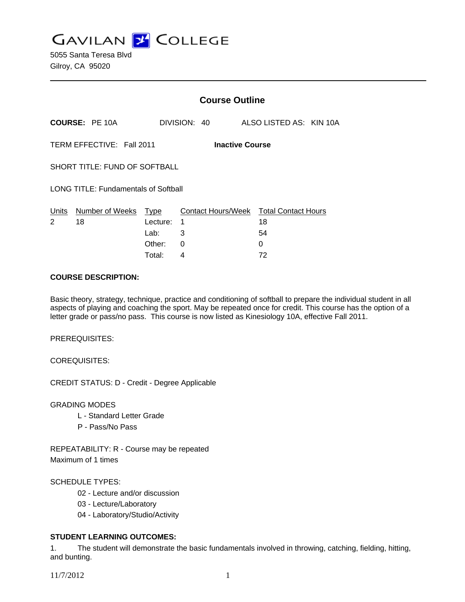**GAVILAN J COLLEGE** 

|                                                     |                            | <b>Course Outline</b> |              |  |                         |                                        |  |
|-----------------------------------------------------|----------------------------|-----------------------|--------------|--|-------------------------|----------------------------------------|--|
|                                                     | <b>COURSE: PE 10A</b>      |                       | DIVISION: 40 |  | ALSO LISTED AS: KIN 10A |                                        |  |
| TERM EFFECTIVE: Fall 2011<br><b>Inactive Course</b> |                            |                       |              |  |                         |                                        |  |
| SHORT TITLE: FUND OF SOFTBALL                       |                            |                       |              |  |                         |                                        |  |
| <b>LONG TITLE: Fundamentals of Softball</b>         |                            |                       |              |  |                         |                                        |  |
| Units<br>2                                          | Number of Weeks Type<br>18 | Lecture:              | 1            |  | 18                      | Contact Hours/Week Total Contact Hours |  |
|                                                     |                            | Lab:                  | 3            |  | 54                      |                                        |  |
|                                                     |                            | Other:                | 0            |  | 0                       |                                        |  |
|                                                     |                            | Total:                | 4            |  | 72                      |                                        |  |

### **COURSE DESCRIPTION:**

Basic theory, strategy, technique, practice and conditioning of softball to prepare the individual student in all aspects of playing and coaching the sport. May be repeated once for credit. This course has the option of a letter grade or pass/no pass. This course is now listed as Kinesiology 10A, effective Fall 2011.

PREREQUISITES:

COREQUISITES:

CREDIT STATUS: D - Credit - Degree Applicable

GRADING MODES

- L Standard Letter Grade
- P Pass/No Pass

REPEATABILITY: R - Course may be repeated Maximum of 1 times

#### SCHEDULE TYPES:

- 02 Lecture and/or discussion
- 03 Lecture/Laboratory
- 04 Laboratory/Studio/Activity

# **STUDENT LEARNING OUTCOMES:**

1. The student will demonstrate the basic fundamentals involved in throwing, catching, fielding, hitting, and bunting.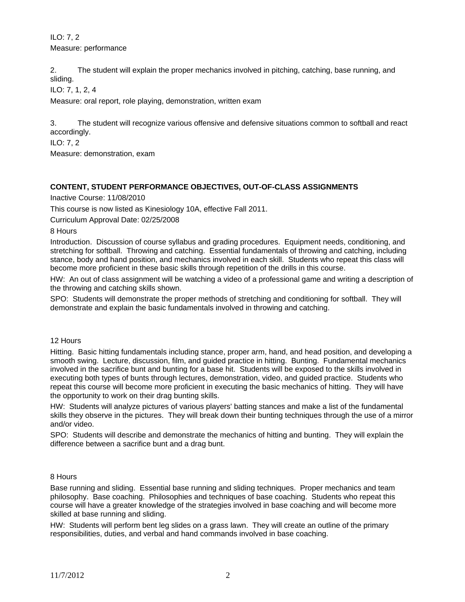ILO: 7, 2 Measure: performance

2. The student will explain the proper mechanics involved in pitching, catching, base running, and sliding.

ILO: 7, 1, 2, 4

Measure: oral report, role playing, demonstration, written exam

3. The student will recognize various offensive and defensive situations common to softball and react accordingly.

ILO: 7, 2

Measure: demonstration, exam

# **CONTENT, STUDENT PERFORMANCE OBJECTIVES, OUT-OF-CLASS ASSIGNMENTS**

Inactive Course: 11/08/2010

This course is now listed as Kinesiology 10A, effective Fall 2011.

Curriculum Approval Date: 02/25/2008

8 Hours

Introduction. Discussion of course syllabus and grading procedures. Equipment needs, conditioning, and stretching for softball. Throwing and catching. Essential fundamentals of throwing and catching, including stance, body and hand position, and mechanics involved in each skill. Students who repeat this class will become more proficient in these basic skills through repetition of the drills in this course.

HW: An out of class assignment will be watching a video of a professional game and writing a description of the throwing and catching skills shown.

SPO: Students will demonstrate the proper methods of stretching and conditioning for softball. They will demonstrate and explain the basic fundamentals involved in throwing and catching.

#### 12 Hours

Hitting. Basic hitting fundamentals including stance, proper arm, hand, and head position, and developing a smooth swing. Lecture, discussion, film, and guided practice in hitting. Bunting. Fundamental mechanics involved in the sacrifice bunt and bunting for a base hit. Students will be exposed to the skills involved in executing both types of bunts through lectures, demonstration, video, and guided practice. Students who repeat this course will become more proficient in executing the basic mechanics of hitting. They will have the opportunity to work on their drag bunting skills.

HW: Students will analyze pictures of various players' batting stances and make a list of the fundamental skills they observe in the pictures. They will break down their bunting techniques through the use of a mirror and/or video.

SPO: Students will describe and demonstrate the mechanics of hitting and bunting. They will explain the difference between a sacrifice bunt and a drag bunt.

#### 8 Hours

Base running and sliding. Essential base running and sliding techniques. Proper mechanics and team philosophy. Base coaching. Philosophies and techniques of base coaching. Students who repeat this course will have a greater knowledge of the strategies involved in base coaching and will become more skilled at base running and sliding.

HW: Students will perform bent leg slides on a grass lawn. They will create an outline of the primary responsibilities, duties, and verbal and hand commands involved in base coaching.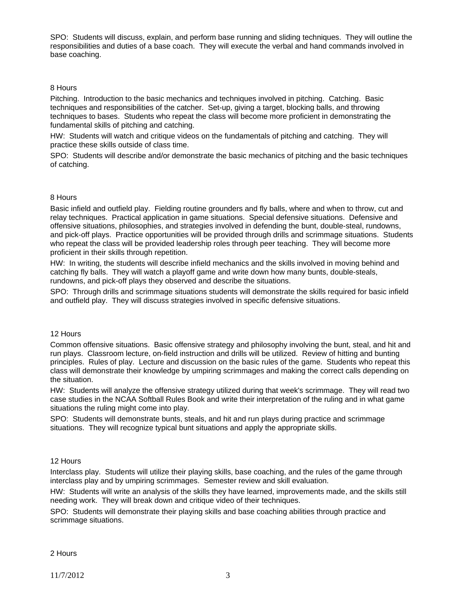SPO: Students will discuss, explain, and perform base running and sliding techniques. They will outline the responsibilities and duties of a base coach. They will execute the verbal and hand commands involved in base coaching.

### 8 Hours

Pitching. Introduction to the basic mechanics and techniques involved in pitching. Catching. Basic techniques and responsibilities of the catcher. Set-up, giving a target, blocking balls, and throwing techniques to bases. Students who repeat the class will become more proficient in demonstrating the fundamental skills of pitching and catching.

HW: Students will watch and critique videos on the fundamentals of pitching and catching. They will practice these skills outside of class time.

SPO: Students will describe and/or demonstrate the basic mechanics of pitching and the basic techniques of catching.

#### 8 Hours

Basic infield and outfield play. Fielding routine grounders and fly balls, where and when to throw, cut and relay techniques. Practical application in game situations. Special defensive situations. Defensive and offensive situations, philosophies, and strategies involved in defending the bunt, double-steal, rundowns, and pick-off plays. Practice opportunities will be provided through drills and scrimmage situations. Students who repeat the class will be provided leadership roles through peer teaching. They will become more proficient in their skills through repetition.

HW: In writing, the students will describe infield mechanics and the skills involved in moving behind and catching fly balls. They will watch a playoff game and write down how many bunts, double-steals, rundowns, and pick-off plays they observed and describe the situations.

SPO: Through drills and scrimmage situations students will demonstrate the skills required for basic infield and outfield play. They will discuss strategies involved in specific defensive situations.

#### 12 Hours

Common offensive situations. Basic offensive strategy and philosophy involving the bunt, steal, and hit and run plays. Classroom lecture, on-field instruction and drills will be utilized. Review of hitting and bunting principles. Rules of play. Lecture and discussion on the basic rules of the game. Students who repeat this class will demonstrate their knowledge by umpiring scrimmages and making the correct calls depending on the situation.

HW: Students will analyze the offensive strategy utilized during that week's scrimmage. They will read two case studies in the NCAA Softball Rules Book and write their interpretation of the ruling and in what game situations the ruling might come into play.

SPO: Students will demonstrate bunts, steals, and hit and run plays during practice and scrimmage situations. They will recognize typical bunt situations and apply the appropriate skills.

#### 12 Hours

Interclass play. Students will utilize their playing skills, base coaching, and the rules of the game through interclass play and by umpiring scrimmages. Semester review and skill evaluation.

HW: Students will write an analysis of the skills they have learned, improvements made, and the skills still needing work. They will break down and critique video of their techniques.

SPO: Students will demonstrate their playing skills and base coaching abilities through practice and scrimmage situations.

#### 2 Hours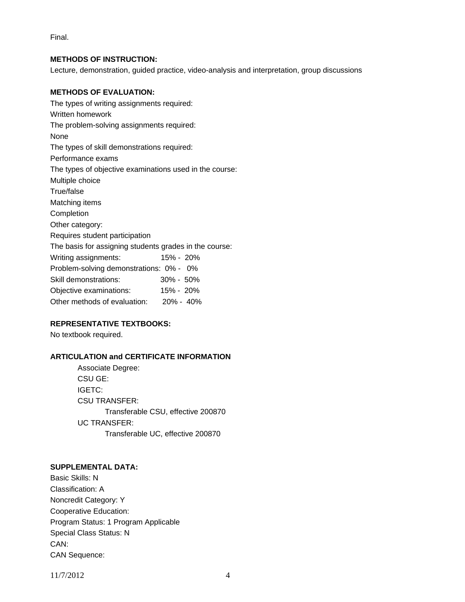Final.

### **METHODS OF INSTRUCTION:**

Lecture, demonstration, guided practice, video-analysis and interpretation, group discussions

## **METHODS OF EVALUATION:**

The types of writing assignments required: Written homework The problem-solving assignments required: None The types of skill demonstrations required: Performance exams The types of objective examinations used in the course: Multiple choice True/false Matching items Completion Other category: Requires student participation The basis for assigning students grades in the course: Writing assignments: 15% - 20% Problem-solving demonstrations: 0% - 0% Skill demonstrations: 30% - 50% Objective examinations: 15% - 20% Other methods of evaluation: 20% - 40%

## **REPRESENTATIVE TEXTBOOKS:**

No textbook required.

# **ARTICULATION and CERTIFICATE INFORMATION**

 Associate Degree: CSU GE: IGETC: CSU TRANSFER: Transferable CSU, effective 200870 UC TRANSFER: Transferable UC, effective 200870

#### **SUPPLEMENTAL DATA:**

Basic Skills: N Classification: A Noncredit Category: Y Cooperative Education: Program Status: 1 Program Applicable Special Class Status: N CAN: CAN Sequence:

11/7/2012 4